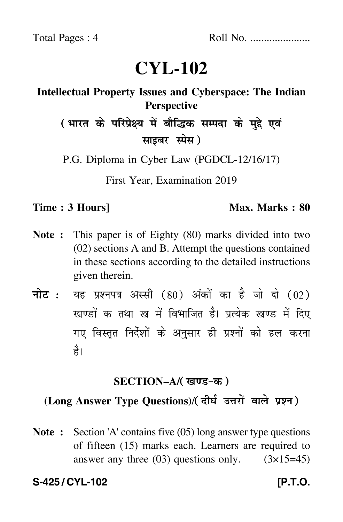# **CYL-102**

## **Intellectual Property Issues and Cyberspace: The Indian Perspective**

( भारत के परिप्रेक्ष्य में बौद्धिक सम्पदा के मुद्दे एवं साइबर स्पेस)

P.G. Diploma in Cyber Law (PGDCL-12/16/17)

First Year, Examination 2019

#### **Time : 3 Hours]** Max. Marks : 80

- **Note :** This paper is of Eighty (80) marks divided into two (02) sections A and B. Attempt the questions contained in these sections according to the detailed instructions given therein.
- नोट : यह प्रश्नपत्र अस्सी (80) अंकों का है जो दो (02) खण्डों क तथा ख में विभाजित है। प्रत्येक खण्ड में दिए गए विस्तृत निर्देशों के अनुसार ही प्रश्नों को हल करन<mark>ा</mark> है।

#### **SECTION–A/**

### (Long Answer Type Questions)/( दीर्घ उत्तरों वाले प्रश्न)

**Note :** Section 'A' contains five (05) long answer type questions of fifteen (15) marks each. Learners are required to answer any three  $(03)$  questions only.  $(3\times15=45)$ 

**S-425 / CYL-102** *IP.T.O.*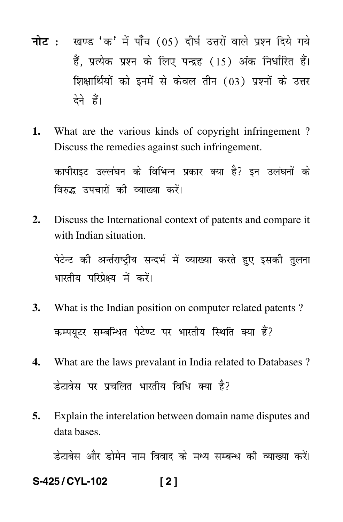- नोट : खण्ड 'क' में पाँच (05) दीर्घ उत्तरों वाले प्रश्न दिये गये हैं. प्रत्येक प्रश्न के लिए पन्द्रह (15) अंक निर्धारित हैं। शिक्षार्थियों को इनमें से केवल तीन (03) प्रश्नों के उत्तर देने हैं।
- $\mathbf{1}$ . What are the various kinds of copyright infringement? Discuss the remedies against such infringement.

कापीराइट उल्लंघन के विभिन्न प्रकार क्या है? इन उलंघनों के विरुद्ध उपचारों की व्याख्या करें।

Discuss the International context of patents and compare it  $2.$ with Indian situation.

पेटेन्ट की अर्न्तराष्ट्रीय सन्दर्भ में व्याख्या करते हुए इसकी तुलना भारतीय परिप्रेक्ष्य में करें।

- $3.$ What is the Indian position on computer related patents? कम्पयूटर सम्बन्धित पेटेण्ट पर भारतीय स्थिति क्या हैं?
- $\overline{4}$ . What are the laws prevalant in India related to Databases ? डेटावेस पर प्रचलित भारतीय विधि क्या है?
- Explain the interelation between domain name disputes and 5. data bases.

डेटाबेस और डोमेन नाम विवाद के मध्य सम्बन्ध की व्याख्या करें।

S-425/CYL-102  $[2]$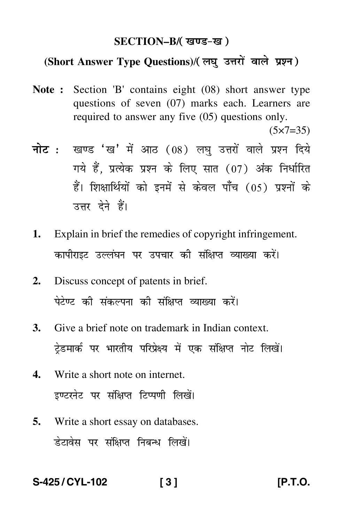#### **SECTION–B/**

## (Short Answer Type Questions)/(लघु उत्तरों वाले प्रश्न)

**Note :** Section 'B' contains eight (08) short answer type questions of seven (07) marks each. Learners are required to answer any five (05) questions only.

 $(5 \times 7 = 35)$ 

- <mark>नोट</mark> : खण्ड 'ख' में आठ (08) लघु उत्तरों वाले प्रश्न दिये गये हैं, प्रत्येक प्रश्न के लिए सात (07) अंक निर्धारित हैं। शिक्षार्थियों को इनमें से केवल पाँच (05) प्रश्नों के उत्तर देने हैं।
- **1.** Explain in brief the remedies of copyright infringement. कापीराइट उल्लंघन पर उपचार की संक्षिप्त व्याख्या करें।
- **2.** Discuss concept of patents in brief. पेटेण्ट की संकल्पना की संक्षिप्त व्याख्या करें।
- **3.** Give a brief note on trademark in Indian context. ट्रेडमार्क पर भारतीय परिप्रेक्ष्य में एक संक्षिप्त नोट लिखें। -
- **4.** Write a short note on internet. इण्टरनेट पर संक्षिप्त टिप्पणी लिखें।
- **5.** Write a short essay on databases. डेटावेस पर संक्षिप्त निबन्ध लिखें।

**S-425 / CYL-102 [ 3 ] [P.T.O.**